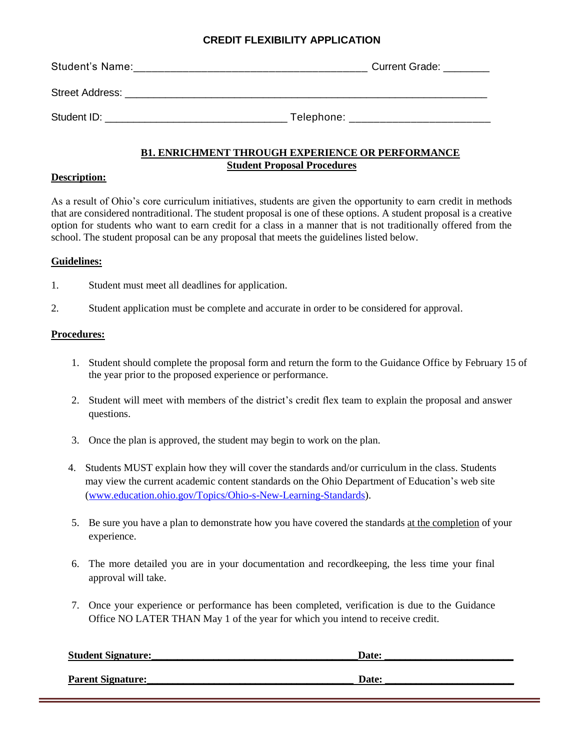### **CREDIT FLEXIBILITY APPLICATION**

| <b>Student's Name:</b> | <b>Current Grade:</b> |
|------------------------|-----------------------|
| <b>Street Address:</b> |                       |
| Student ID:            | Telephone:            |

### **B1. ENRICHMENT THROUGH EXPERIENCE OR PERFORMANCE Student Proposal Procedures**

#### **Description:**

As a result of Ohio's core curriculum initiatives, students are given the opportunity to earn credit in methods that are considered nontraditional. The student proposal is one of these options. A student proposal is a creative option for students who want to earn credit for a class in a manner that is not traditionally offered from the school. The student proposal can be any proposal that meets the guidelines listed below.

#### **Guidelines:**

- 1. Student must meet all deadlines for application.
- 2. Student application must be complete and accurate in order to be considered for approval.

#### **Procedures:**

- 1. Student should complete the proposal form and return the form to the Guidance Office by February 15 of the year prior to the proposed experience or performance.
- 2. Student will meet with members of the district's credit flex team to explain the proposal and answer questions.
- 3. Once the plan is approved, the student may begin to work on the plan.
- 4. Students MUST explain how they will cover the standards and/or curriculum in the class. Students may view the current academic content standards on the Ohio Department of Education's web site [\(www.education.ohio.gov/Topics/Ohio-s-New-Learning-Standards\)](http://www.education.ohio.gov/Topics/Ohio-s-New-Learning-Standards).
- 5. Be sure you have a plan to demonstrate how you have covered the standards at the completion of your experience.
- 6. The more detailed you are in your documentation and recordkeeping, the less time your final approval will take.
- 7. Once your experience or performance has been completed, verification is due to the Guidance Office NO LATER THAN May 1 of the year for which you intend to receive credit.

| <b>Student Signature:</b> | Date:        |
|---------------------------|--------------|
|                           |              |
| <b>Parent Signature:</b>  | <b>Date:</b> |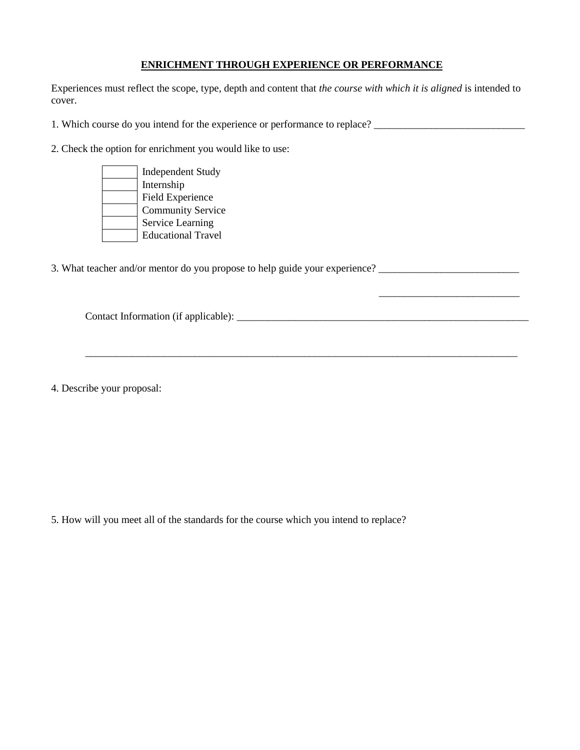## **ENRICHMENT THROUGH EXPERIENCE OR PERFORMANCE**

Experiences must reflect the scope, type, depth and content that *the course with which it is aligned* is intended to cover.

1. Which course do you intend for the experience or performance to replace? \_\_\_\_\_\_\_\_\_\_\_\_\_\_\_\_\_\_\_\_\_\_\_\_\_\_\_\_\_

\_\_\_\_\_\_\_\_\_\_\_\_\_\_\_\_\_\_\_\_\_\_\_\_\_\_\_\_\_\_\_\_\_\_\_\_\_\_\_\_\_\_\_\_\_\_\_\_\_\_\_\_\_\_\_\_\_\_\_\_\_\_\_\_\_\_\_\_\_\_\_\_\_\_\_\_\_\_\_\_\_\_\_

\_\_\_\_\_\_\_\_\_\_\_\_\_\_\_\_\_\_\_\_\_\_\_\_\_\_\_

2. Check the option for enrichment you would like to use:

| <b>Independent Study</b>  |
|---------------------------|
| Internship                |
| <b>Field Experience</b>   |
| <b>Community Service</b>  |
| Service Learning          |
| <b>Educational Travel</b> |

3. What teacher and/or mentor do you propose to help guide your experience? \_\_\_\_\_\_\_\_\_\_\_\_\_\_\_\_\_\_\_\_\_\_\_\_\_\_\_\_\_\_\_\_\_\_

| Contact Information (if applicable): |  |
|--------------------------------------|--|
|                                      |  |

4. Describe your proposal:

5. How will you meet all of the standards for the course which you intend to replace?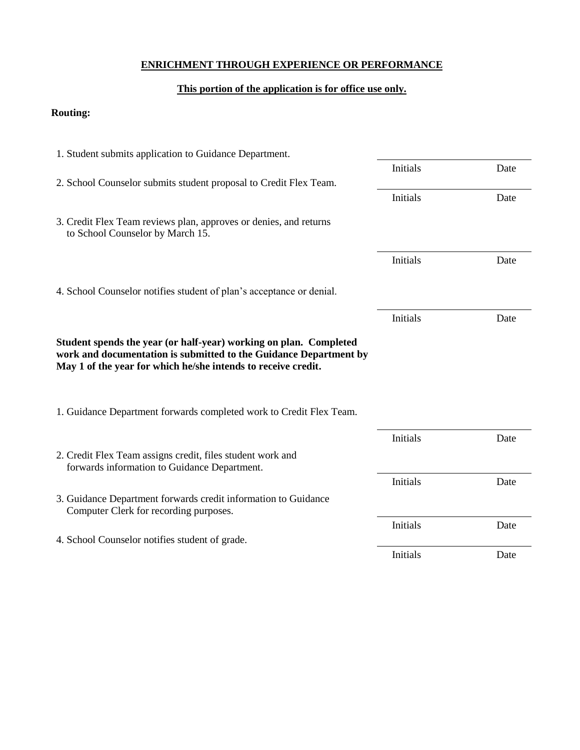# **ENRICHMENT THROUGH EXPERIENCE OR PERFORMANCE**

## **This portion of the application is for office use only.**

# **Routing:**

| 1. Student submits application to Guidance Department.                                                                                                                                                  |          |      |
|---------------------------------------------------------------------------------------------------------------------------------------------------------------------------------------------------------|----------|------|
|                                                                                                                                                                                                         | Initials | Date |
| 2. School Counselor submits student proposal to Credit Flex Team.                                                                                                                                       |          |      |
|                                                                                                                                                                                                         | Initials | Date |
| 3. Credit Flex Team reviews plan, approves or denies, and returns<br>to School Counselor by March 15.                                                                                                   |          |      |
|                                                                                                                                                                                                         | Initials | Date |
| 4. School Counselor notifies student of plan's acceptance or denial.                                                                                                                                    |          |      |
|                                                                                                                                                                                                         | Initials | Date |
| Student spends the year (or half-year) working on plan. Completed<br>work and documentation is submitted to the Guidance Department by<br>May 1 of the year for which he/she intends to receive credit. |          |      |
| 1. Guidance Department forwards completed work to Credit Flex Team.                                                                                                                                     |          |      |
|                                                                                                                                                                                                         | Initials | Date |
| 2. Credit Flex Team assigns credit, files student work and<br>forwards information to Guidance Department.                                                                                              |          |      |
|                                                                                                                                                                                                         | Initials | Date |
| 3. Guidance Department forwards credit information to Guidance<br>Computer Clerk for recording purposes.                                                                                                |          |      |
|                                                                                                                                                                                                         | Initials | Date |
| 4. School Counselor notifies student of grade.                                                                                                                                                          |          |      |
|                                                                                                                                                                                                         | Initials | Date |